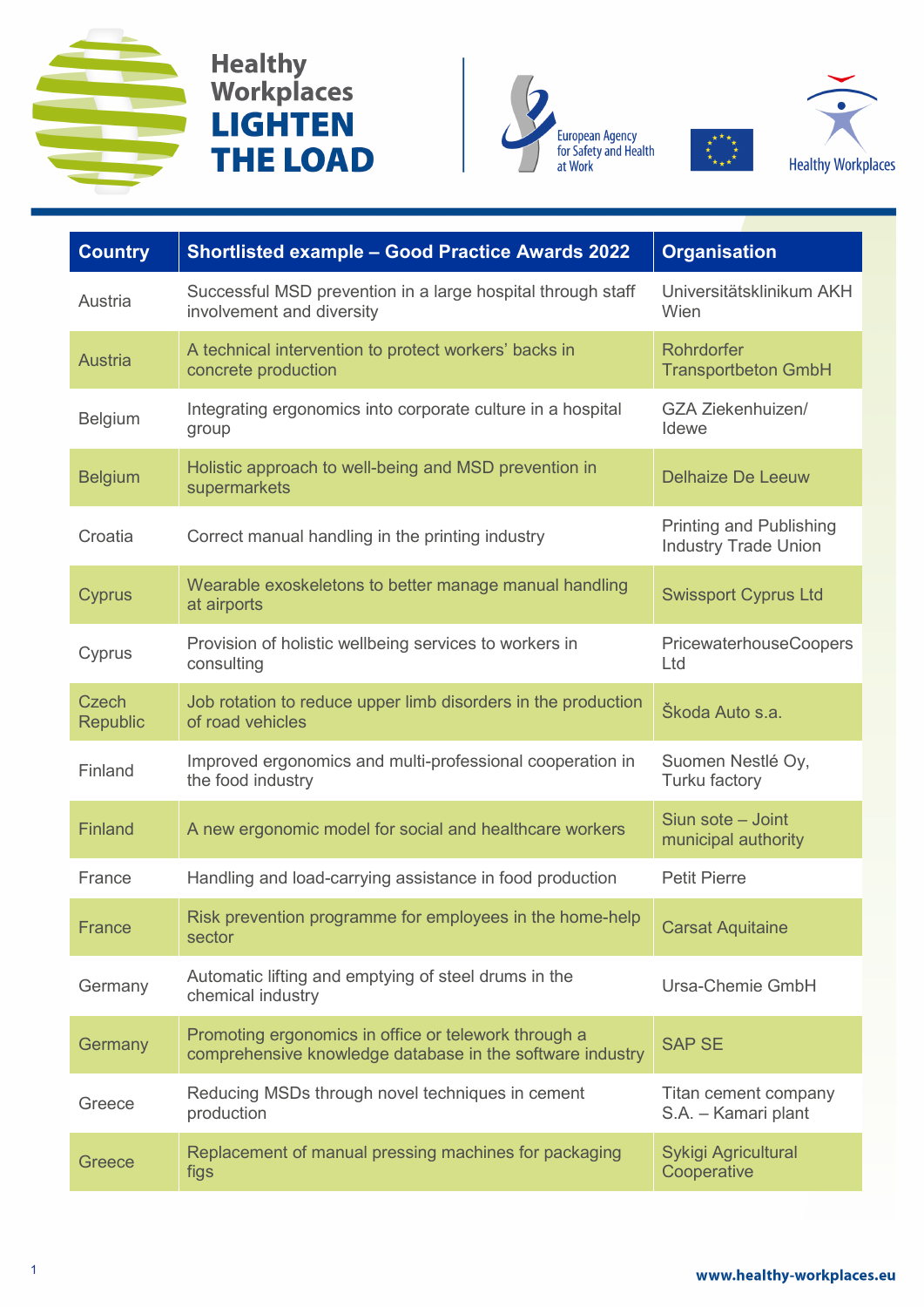







| <b>Country</b>                  | <b>Shortlisted example - Good Practice Awards 2022</b>                                                            | <b>Organisation</b>                                           |
|---------------------------------|-------------------------------------------------------------------------------------------------------------------|---------------------------------------------------------------|
| Austria                         | Successful MSD prevention in a large hospital through staff<br>involvement and diversity                          | Universitätsklinikum AKH<br>Wien                              |
| <b>Austria</b>                  | A technical intervention to protect workers' backs in<br>concrete production                                      | <b>Rohrdorfer</b><br><b>Transportbeton GmbH</b>               |
| Belgium                         | Integrating ergonomics into corporate culture in a hospital<br>group                                              | <b>GZA Ziekenhuizen/</b><br>Idewe                             |
| <b>Belgium</b>                  | Holistic approach to well-being and MSD prevention in<br>supermarkets                                             | <b>Delhaize De Leeuw</b>                                      |
| Croatia                         | Correct manual handling in the printing industry                                                                  | <b>Printing and Publishing</b><br><b>Industry Trade Union</b> |
| <b>Cyprus</b>                   | Wearable exoskeletons to better manage manual handling<br>at airports                                             | <b>Swissport Cyprus Ltd</b>                                   |
| Cyprus                          | Provision of holistic wellbeing services to workers in<br>consulting                                              | <b>PricewaterhouseCoopers</b><br>Ltd                          |
| <b>Czech</b><br><b>Republic</b> | Job rotation to reduce upper limb disorders in the production<br>of road vehicles                                 | Škoda Auto s.a.                                               |
| Finland                         | Improved ergonomics and multi-professional cooperation in<br>the food industry                                    | Suomen Nestlé Oy,<br><b>Turku factory</b>                     |
| <b>Finland</b>                  | A new ergonomic model for social and healthcare workers                                                           | Siun sote - Joint<br>municipal authority                      |
| France                          | Handling and load-carrying assistance in food production                                                          | <b>Petit Pierre</b>                                           |
| <b>France</b>                   | Risk prevention programme for employees in the home-help<br>sector                                                | <b>Carsat Aquitaine</b>                                       |
| Germany                         | Automatic lifting and emptying of steel drums in the<br>chemical industry                                         | Ursa-Chemie GmbH                                              |
| Germany                         | Promoting ergonomics in office or telework through a<br>comprehensive knowledge database in the software industry | <b>SAP SE</b>                                                 |
| Greece                          | Reducing MSDs through novel techniques in cement<br>production                                                    | Titan cement company<br>S.A. - Kamari plant                   |
| Greece                          | Replacement of manual pressing machines for packaging<br>figs                                                     | Sykigi Agricultural<br>Cooperative                            |
|                                 |                                                                                                                   |                                                               |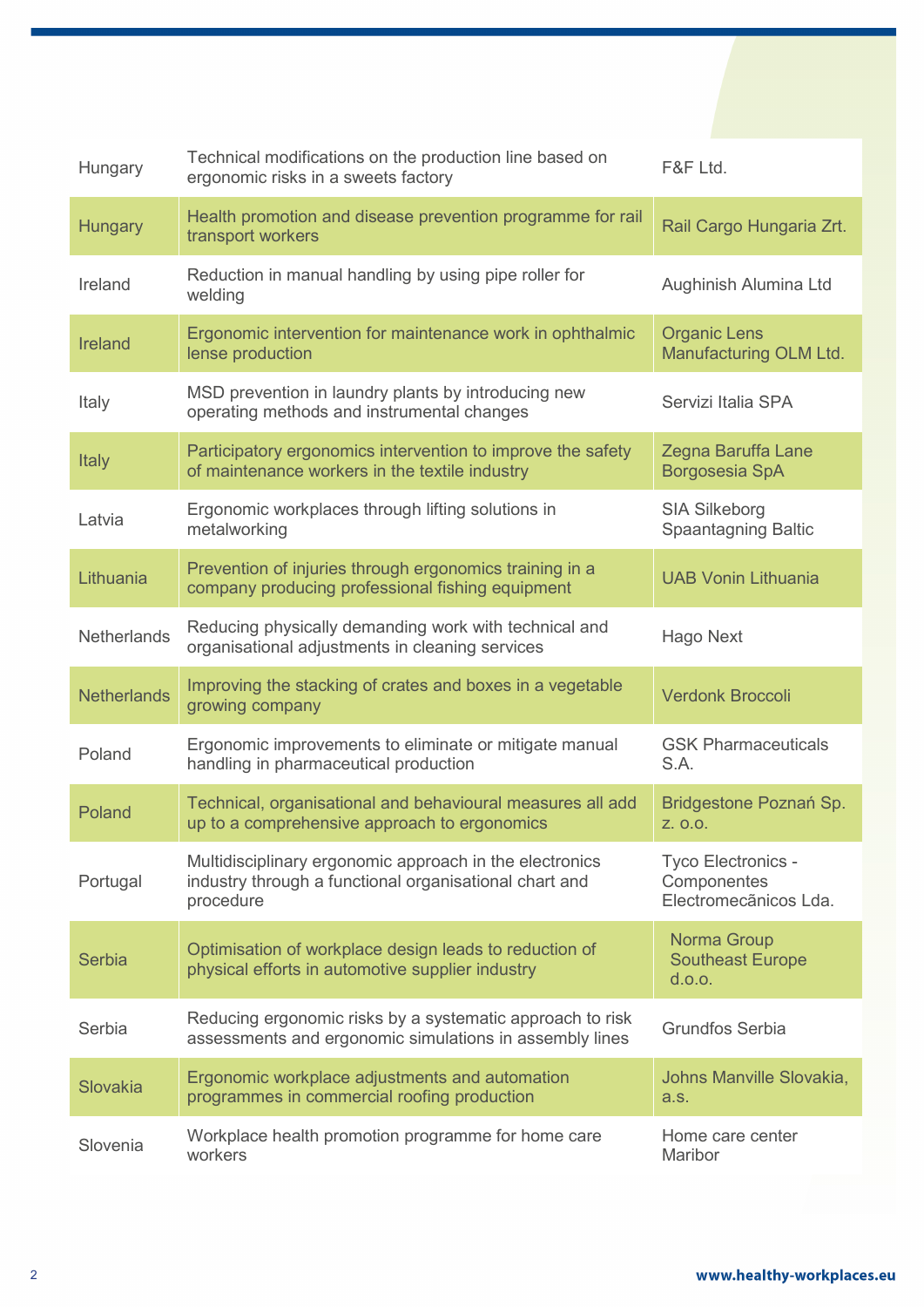| Hungary            | Technical modifications on the production line based on<br>ergonomic risks in a sweets factory                                 | F&F Ltd.                                                   |
|--------------------|--------------------------------------------------------------------------------------------------------------------------------|------------------------------------------------------------|
| <b>Hungary</b>     | Health promotion and disease prevention programme for rail<br>transport workers                                                | Rail Cargo Hungaria Zrt.                                   |
| Ireland            | Reduction in manual handling by using pipe roller for<br>welding                                                               | Aughinish Alumina Ltd                                      |
| <b>Ireland</b>     | Ergonomic intervention for maintenance work in ophthalmic<br>lense production                                                  | <b>Organic Lens</b><br>Manufacturing OLM Ltd.              |
| Italy              | MSD prevention in laundry plants by introducing new<br>operating methods and instrumental changes                              | Servizi Italia SPA                                         |
| <b>Italy</b>       | Participatory ergonomics intervention to improve the safety<br>of maintenance workers in the textile industry                  | <b>Zegna Baruffa Lane</b><br><b>Borgosesia SpA</b>         |
| Latvia             | Ergonomic workplaces through lifting solutions in<br>metalworking                                                              | <b>SIA Silkeborg</b><br><b>Spaantagning Baltic</b>         |
| Lithuania          | Prevention of injuries through ergonomics training in a<br>company producing professional fishing equipment                    | <b>UAB Vonin Lithuania</b>                                 |
| <b>Netherlands</b> | Reducing physically demanding work with technical and<br>organisational adjustments in cleaning services                       | Hago Next                                                  |
| <b>Netherlands</b> | Improving the stacking of crates and boxes in a vegetable<br>growing company                                                   | <b>Verdonk Broccoli</b>                                    |
| Poland             | Ergonomic improvements to eliminate or mitigate manual<br>handling in pharmaceutical production                                | <b>GSK Pharmaceuticals</b><br>S.A.                         |
| Poland             | Technical, organisational and behavioural measures all add<br>up to a comprehensive approach to ergonomics                     | Bridgestone Poznań Sp.<br>Z. O.O.                          |
| Portugal           | Multidisciplinary ergonomic approach in the electronics<br>industry through a functional organisational chart and<br>procedure | Tyco Electronics -<br>Componentes<br>Electromecãnicos Lda. |
| Serbia             | Optimisation of workplace design leads to reduction of<br>physical efforts in automotive supplier industry                     | Norma Group<br><b>Southeast Europe</b><br>d.o.o.           |
| Serbia             | Reducing ergonomic risks by a systematic approach to risk<br>assessments and ergonomic simulations in assembly lines           | <b>Grundfos Serbia</b>                                     |
| Slovakia           | Ergonomic workplace adjustments and automation<br>programmes in commercial roofing production                                  | Johns Manville Slovakia,<br>a.s.                           |
| Slovenia           | Workplace health promotion programme for home care<br>workers                                                                  | Home care center<br>Maribor                                |